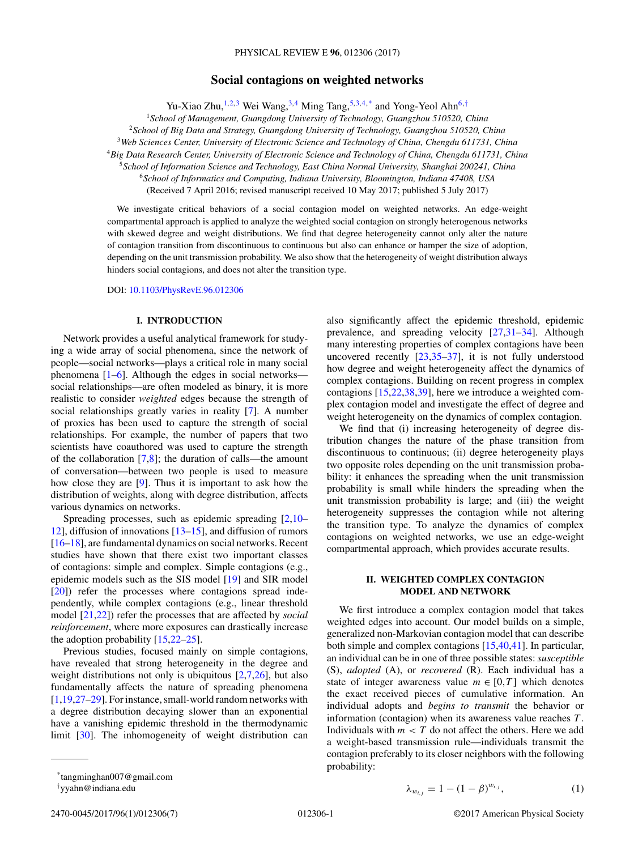# **Social contagions on weighted networks**

Yu-Xiao Zhu,<sup>1,2,3</sup> Wei Wang,<sup>3,4</sup> Ming Tang,<sup>5,3,4,\*</sup> and Yong-Yeol Ahn<sup>6,†</sup>

<sup>1</sup>*School of Management, Guangdong University of Technology, Guangzhou 510520, China*

<sup>2</sup>*School of Big Data and Strategy, Guangdong University of Technology, Guangzhou 510520, China*

<sup>3</sup>*Web Sciences Center, University of Electronic Science and Technology of China, Chengdu 611731, China*

<sup>4</sup>*Big Data Research Center, University of Electronic Science and Technology of China, Chengdu 611731, China*

<sup>5</sup>*School of Information Science and Technology, East China Normal University, Shanghai 200241, China*

<sup>6</sup>*School of Informatics and Computing, Indiana University, Bloomington, Indiana 47408, USA*

(Received 7 April 2016; revised manuscript received 10 May 2017; published 5 July 2017)

We investigate critical behaviors of a social contagion model on weighted networks. An edge-weight compartmental approach is applied to analyze the weighted social contagion on strongly heterogenous networks with skewed degree and weight distributions. We find that degree heterogeneity cannot only alter the nature of contagion transition from discontinuous to continuous but also can enhance or hamper the size of adoption, depending on the unit transmission probability. We also show that the heterogeneity of weight distribution always hinders social contagions, and does not alter the transition type.

DOI: [10.1103/PhysRevE.96.012306](https://doi.org/10.1103/PhysRevE.96.012306)

#### **I. INTRODUCTION**

Network provides a useful analytical framework for studying a wide array of social phenomena, since the network of people—social networks—plays a critical role in many social phenomena  $[1-6]$ . Although the edges in social networks social relationships—are often modeled as binary, it is more realistic to consider *weighted* edges because the strength of social relationships greatly varies in reality [\[7\]](#page-5-0). A number of proxies has been used to capture the strength of social relationships. For example, the number of papers that two scientists have coauthored was used to capture the strength of the collaboration  $[7,8]$ ; the duration of calls—the amount of conversation—between two people is used to measure how close they are [\[9\]](#page-5-0). Thus it is important to ask how the distribution of weights, along with degree distribution, affects various dynamics on networks.

Spreading processes, such as epidemic spreading [\[2,10–](#page-5-0) [12\]](#page-5-0), diffusion of innovations [\[13–15\]](#page-5-0), and diffusion of rumors [\[16–18\]](#page-5-0), are fundamental dynamics on social networks. Recent studies have shown that there exist two important classes of contagions: simple and complex. Simple contagions (e.g., epidemic models such as the SIS model [\[19\]](#page-5-0) and SIR model [\[20\]](#page-5-0)) refer the processes where contagions spread independently, while complex contagions (e.g., linear threshold model [\[21,22\]](#page-5-0)) refer the processes that are affected by *social reinforcement*, where more exposures can drastically increase the adoption probability [\[15,22–25\]](#page-5-0).

Previous studies, focused mainly on simple contagions, have revealed that strong heterogeneity in the degree and weight distributions not only is ubiquitous  $[2,7,26]$ , but also fundamentally affects the nature of spreading phenomena [\[1,19,27–29\]](#page-5-0). For instance, small-world random networks with a degree distribution decaying slower than an exponential have a vanishing epidemic threshold in the thermodynamic limit [\[30\]](#page-5-0). The inhomogeneity of weight distribution can

also significantly affect the epidemic threshold, epidemic prevalence, and spreading velocity [\[27,31–34\]](#page-5-0). Although many interesting properties of complex contagions have been uncovered recently [\[23,35–37\]](#page-5-0), it is not fully understood how degree and weight heterogeneity affect the dynamics of complex contagions. Building on recent progress in complex contagions [\[15,22,38,39\]](#page-5-0), here we introduce a weighted complex contagion model and investigate the effect of degree and weight heterogeneity on the dynamics of complex contagion.

We find that (i) increasing heterogeneity of degree distribution changes the nature of the phase transition from discontinuous to continuous; (ii) degree heterogeneity plays two opposite roles depending on the unit transmission probability: it enhances the spreading when the unit transmission probability is small while hinders the spreading when the unit transmission probability is large; and (iii) the weight heterogeneity suppresses the contagion while not altering the transition type. To analyze the dynamics of complex contagions on weighted networks, we use an edge-weight compartmental approach, which provides accurate results.

# **II. WEIGHTED COMPLEX CONTAGION MODEL AND NETWORK**

We first introduce a complex contagion model that takes weighted edges into account. Our model builds on a simple, generalized non-Markovian contagion model that can describe both simple and complex contagions [\[15,40](#page-5-0)[,41\]](#page-6-0). In particular, an individual can be in one of three possible states: *susceptible* (S), *adopted* (A), or *recovered* (R). Each individual has a state of integer awareness value  $m \in [0, T]$  which denotes the exact received pieces of cumulative information. An individual adopts and *begins to transmit* the behavior or information (contagion) when its awareness value reaches *T* . Individuals with  $m < T$  do not affect the others. Here we add a weight-based transmission rule—individuals transmit the contagion preferably to its closer neighbors with the following probability:

$$
\lambda_{w_{i,j}} = 1 - (1 - \beta)^{w_{i,j}}, \tag{1}
$$

<sup>\*</sup>tangminghan007@gmail.com

<sup>†</sup> yyahn@indiana.edu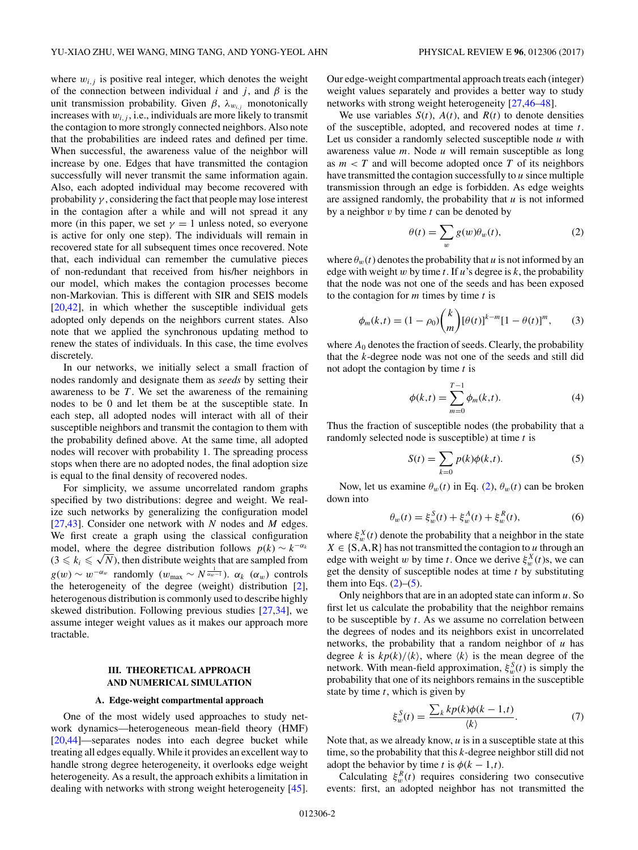<span id="page-1-0"></span>where  $w_{i,j}$  is positive real integer, which denotes the weight of the connection between individual  $i$  and  $j$ , and  $\beta$  is the unit transmission probability. Given  $\beta$ ,  $\lambda_{w_{i}}$  monotonically increases with  $w_{i,j}$ , i.e., individuals are more likely to transmit the contagion to more strongly connected neighbors. Also note that the probabilities are indeed rates and defined per time. When successful, the awareness value of the neighbor will increase by one. Edges that have transmitted the contagion successfully will never transmit the same information again. Also, each adopted individual may become recovered with probability  $\gamma$ , considering the fact that people may lose interest in the contagion after a while and will not spread it any more (in this paper, we set  $\gamma = 1$  unless noted, so everyone is active for only one step). The individuals will remain in recovered state for all subsequent times once recovered. Note that, each individual can remember the cumulative pieces of non-redundant that received from his/her neighbors in our model, which makes the contagion processes become non-Markovian. This is different with SIR and SEIS models [\[20,](#page-5-0)[42\]](#page-6-0), in which whether the susceptible individual gets adopted only depends on the neighbors current states. Also note that we applied the synchronous updating method to renew the states of individuals. In this case, the time evolves discretely.

In our networks, we initially select a small fraction of nodes randomly and designate them as *seeds* by setting their awareness to be *T* . We set the awareness of the remaining nodes to be 0 and let them be at the susceptible state. In each step, all adopted nodes will interact with all of their susceptible neighbors and transmit the contagion to them with the probability defined above. At the same time, all adopted nodes will recover with probability 1. The spreading process stops when there are no adopted nodes, the final adoption size is equal to the final density of recovered nodes.

For simplicity, we assume uncorrelated random graphs specified by two distributions: degree and weight. We realize such networks by generalizing the configuration model [\[27,](#page-5-0)[43\]](#page-6-0). Consider one network with *N* nodes and *M* edges. We first create a graph using the classical configuration model, where the degree distribution follows  $p(k) \sim k^{-\alpha_k}$ model, where the degree distribution follows  $p(k) \sim k^{-\alpha_k}$ <br>(3  $\le k_i \le \sqrt{N}$ ), then distribute weights that are sampled from  $g(w) \sim w^{-\alpha_w}$  randomly  $(w_{\text{max}} \sim N^{\frac{1}{\alpha_w-1}})$ .  $\alpha_k$   $(\alpha_w)$  controls the heterogeneity of the degree (weight) distribution [\[2\]](#page-5-0), heterogenous distribution is commonly used to describe highly skewed distribution. Following previous studies [\[27,34\]](#page-5-0), we assume integer weight values as it makes our approach more tractable.

# **III. THEORETICAL APPROACH AND NUMERICAL SIMULATION**

#### **A. Edge-weight compartmental approach**

One of the most widely used approaches to study network dynamics—heterogeneous mean-field theory (HMF) [\[20,](#page-5-0)[44\]](#page-6-0)—separates nodes into each degree bucket while treating all edges equally. While it provides an excellent way to handle strong degree heterogeneity, it overlooks edge weight heterogeneity. As a result, the approach exhibits a limitation in dealing with networks with strong weight heterogeneity [\[45\]](#page-6-0).

Our edge-weight compartmental approach treats each (integer) weight values separately and provides a better way to study networks with strong weight heterogeneity [\[27,](#page-5-0)[46–48\]](#page-6-0).

We use variables  $S(t)$ ,  $A(t)$ , and  $R(t)$  to denote densities of the susceptible, adopted, and recovered nodes at time *t*. Let us consider a randomly selected susceptible node *u* with awareness value *m*. Node *u* will remain susceptible as long as  $m < T$  and will become adopted once  $T$  of its neighbors have transmitted the contagion successfully to *u* since multiple transmission through an edge is forbidden. As edge weights are assigned randomly, the probability that *u* is not informed by a neighbor *v* by time *t* can be denoted by

$$
\theta(t) = \sum_{w} g(w)\theta_w(t),\tag{2}
$$

where  $\theta_w(t)$  denotes the probability that *u* is not informed by an edge with weight *w* by time *t*. If *u*'s degree is *k*, the probability that the node was not one of the seeds and has been exposed to the contagion for *m* times by time *t* is

$$
\phi_m(k,t) = (1 - \rho_0) \binom{k}{m} [\theta(t)]^{k-m} [1 - \theta(t)]^m, \qquad (3)
$$

where  $A_0$  denotes the fraction of seeds. Clearly, the probability that the *k*-degree node was not one of the seeds and still did not adopt the contagion by time *t* is

$$
\phi(k,t) = \sum_{m=0}^{T-1} \phi_m(k,t).
$$
 (4)

Thus the fraction of susceptible nodes (the probability that a randomly selected node is susceptible) at time *t* is

$$
S(t) = \sum_{k=0} p(k)\phi(k,t).
$$
 (5)

Now, let us examine  $\theta_w(t)$  in Eq. (2),  $\theta_w(t)$  can be broken down into

$$
\theta_w(t) = \xi_w^S(t) + \xi_w^A(t) + \xi_w^R(t),\tag{6}
$$

where  $\xi_w^X(t)$  denote the probability that a neighbor in the state  $X \in \{S, A, R\}$  has not transmitted the contagion to *u* through an edge with weight *w* by time *t*. Once we derive  $\xi_w^X(t)$ s, we can get the density of susceptible nodes at time *t* by substituting them into Eqs.  $(2)$ – $(5)$ .

Only neighbors that are in an adopted state can inform *u*. So first let us calculate the probability that the neighbor remains to be susceptible by *t*. As we assume no correlation between the degrees of nodes and its neighbors exist in uncorrelated networks, the probability that a random neighbor of *u* has degree *k* is  $kp(k)/\langle k \rangle$ , where  $\langle k \rangle$  is the mean degree of the network. With mean-field approximation,  $\xi_w^S(t)$  is simply the probability that one of its neighbors remains in the susceptible state by time *t*, which is given by

$$
\xi_w^S(t) = \frac{\sum_k k p(k) \phi(k-1,t)}{\langle k \rangle}.
$$
\n(7)

Note that, as we already know, *u* is in a susceptible state at this time, so the probability that this *k*-degree neighbor still did not adopt the behavior by time *t* is  $\phi$ ( $k$  − 1,*t*).

Calculating  $\xi_w^R(t)$  requires considering two consecutive events: first, an adopted neighbor has not transmitted the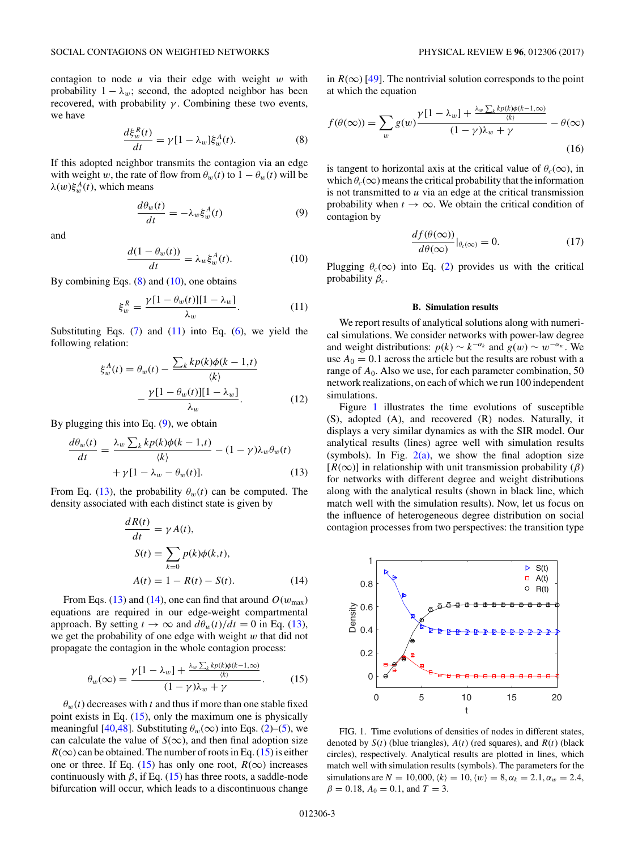<span id="page-2-0"></span>contagion to node *u* via their edge with weight *w* with probability  $1 - \lambda_w$ ; second, the adopted neighbor has been recovered, with probability  $\gamma$ . Combining these two events, we have

$$
\frac{d\xi_w^R(t)}{dt} = \gamma [1 - \lambda_w] \xi_w^A(t). \tag{8}
$$

If this adopted neighbor transmits the contagion via an edge with weight *w*, the rate of flow from  $\theta_w(t)$  to  $1 - \theta_w(t)$  will be  $λ(w)ξ<sub>w</sub><sup>A</sup>(t)$ , which means

$$
\frac{d\theta_w(t)}{dt} = -\lambda_w \xi_w^A(t) \tag{9}
$$

and

$$
\frac{d(1 - \theta_w(t))}{dt} = \lambda_w \xi_w^A(t). \tag{10}
$$

By combining Eqs.  $(8)$  and  $(10)$ , one obtains

$$
\xi_w^R = \frac{\gamma [1 - \theta_w(t)][1 - \lambda_w]}{\lambda_w}.
$$
 (11)

Substituting Eqs.  $(7)$  and  $(11)$  into Eq.  $(6)$ , we yield the following relation:

$$
\xi_w^A(t) = \theta_w(t) - \frac{\sum_k k p(k) \phi(k-1,t)}{\langle k \rangle}
$$

$$
- \frac{\gamma [1 - \theta_w(t)][1 - \lambda_w]}{\lambda_w}.
$$
 (12)

By plugging this into Eq.  $(9)$ , we obtain

$$
\frac{d\theta_w(t)}{dt} = \frac{\lambda_w \sum_k k p(k) \phi(k-1,t)}{\langle k \rangle} - (1-\gamma) \lambda_w \theta_w(t) + \gamma [1 - \lambda_w - \theta_w(t)].
$$
\n(13)

From Eq. (13), the probability  $\theta_w(t)$  can be computed. The density associated with each distinct state is given by

$$
\frac{dR(t)}{dt} = \gamma A(t),
$$
  
\n
$$
S(t) = \sum_{k=0} p(k)\phi(k,t),
$$
  
\n
$$
A(t) = 1 - R(t) - S(t).
$$
\n(14)

From Eqs. (13) and (14), one can find that around  $O(w_{\text{max}})$ equations are required in our edge-weight compartmental approach. By setting  $t \to \infty$  and  $d\theta_w(t)/dt = 0$  in Eq. (13), we get the probability of one edge with weight *w* that did not propagate the contagion in the whole contagion process:

$$
\theta_w(\infty) = \frac{\gamma[1 - \lambda_w] + \frac{\lambda_w \sum_k k p(k) \phi(k-1,\infty)}{\langle k \rangle}}{(1 - \gamma)\lambda_w + \gamma}.
$$
 (15)

 $\theta_w(t)$  decreases with *t* and thus if more than one stable fixed point exists in Eq. (15), only the maximum one is physically meaningful [\[40,](#page-5-0)[48\]](#page-6-0). Substituting  $\theta_w(\infty)$  into Eqs. [\(2\)](#page-1-0)–[\(5\)](#page-1-0), we can calculate the value of  $S(\infty)$ , and then final adoption size  $R(\infty)$  can be obtained. The number of roots in Eq. (15) is either one or three. If Eq. (15) has only one root,  $R(\infty)$  increases continuously with  $\beta$ , if Eq. (15) has three roots, a saddle-node bifurcation will occur, which leads to a discontinuous change

in  $R(\infty)$  [\[49\]](#page-6-0). The nontrivial solution corresponds to the point at which the equation

$$
f(\theta(\infty)) = \sum_{w} g(w) \frac{\gamma[1 - \lambda_w] + \frac{\lambda_w \sum_k k p(k) \phi(k-1, \infty)}{\langle k \rangle}}{(1 - \gamma)\lambda_w + \gamma} - \theta(\infty)
$$
\n(16)

is tangent to horizontal axis at the critical value of  $\theta_c(\infty)$ , in which  $\theta_c(\infty)$  means the critical probability that the information is not transmitted to *u* via an edge at the critical transmission probability when  $t \to \infty$ . We obtain the critical condition of contagion by

$$
\frac{df(\theta(\infty))}{d\theta(\infty)}|_{\theta_c(\infty)} = 0.
$$
\n(17)

Plugging  $\theta_c(\infty)$  into Eq. [\(2\)](#page-1-0) provides us with the critical probability  $\beta_c$ .

#### **B. Simulation results**

We report results of analytical solutions along with numerical simulations. We consider networks with power-law degree and weight distributions:  $p(k) \sim k^{-\alpha_k}$  and  $g(w) \sim w^{-\alpha_w}$ . We use  $A_0 = 0.1$  across the article but the results are robust with a range of  $A_0$ . Also we use, for each parameter combination, 50 network realizations, on each of which we run 100 independent simulations.

Figure 1 illustrates the time evolutions of susceptible (S), adopted (A), and recovered (R) nodes. Naturally, it displays a very similar dynamics as with the SIR model. Our analytical results (lines) agree well with simulation results (symbols). In Fig.  $2(a)$ , we show the final adoption size  $[R(\infty)]$  in relationship with unit transmission probability ( $\beta$ ) for networks with different degree and weight distributions along with the analytical results (shown in black line, which match well with the simulation results). Now, let us focus on the influence of heterogeneous degree distribution on social contagion processes from two perspectives: the transition type

t FIG. 1. Time evolutions of densities of nodes in different states, denoted by  $S(t)$  (blue triangles),  $A(t)$  (red squares), and  $R(t)$  (black circles), respectively. Analytical results are plotted in lines, which match well with simulation results (symbols). The parameters for the simulations are  $N = 10,000, \langle k \rangle = 10, \langle w \rangle = 8, \alpha_k = 2.1, \alpha_w = 2.4,$  $\beta = 0.18$ ,  $A_0 = 0.1$ , and  $T = 3$ .

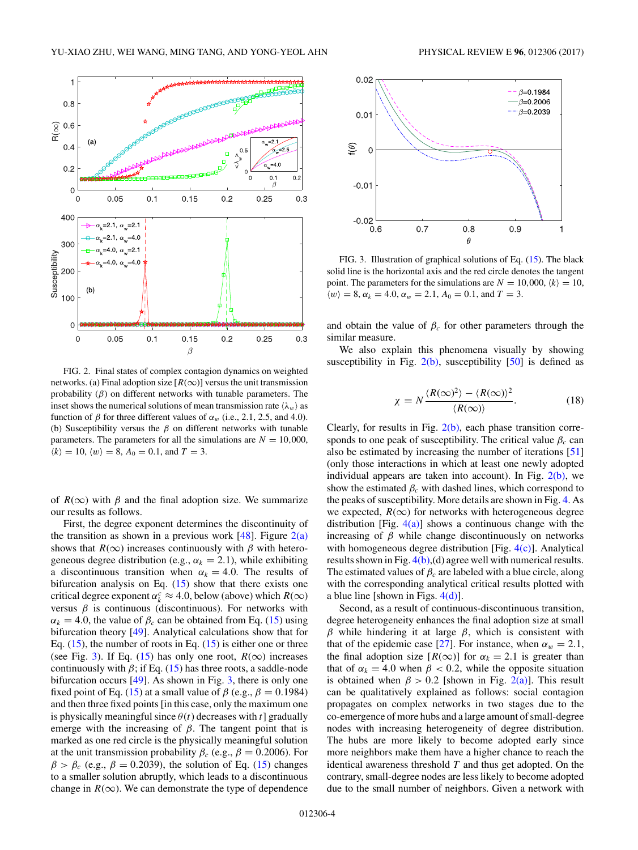<span id="page-3-0"></span>

FIG. 2. Final states of complex contagion dynamics on weighted networks. (a) Final adoption size  $[R(\infty)]$  versus the unit transmission probability  $(\beta)$  on different networks with tunable parameters. The inset shows the numerical solutions of mean transmission rate  $\langle \lambda_w \rangle$  as function of  $\beta$  for three different values of  $\alpha_w$  (i.e., 2.1, 2.5, and 4.0). (b) Susceptibility versus the  $\beta$  on different networks with tunable parameters. The parameters for all the simulations are  $N = 10,000$ ,  $\langle k \rangle = 10, \langle w \rangle = 8, A_0 = 0.1, \text{ and } T = 3.$ 

of  $R(\infty)$  with  $\beta$  and the final adoption size. We summarize our results as follows.

First, the degree exponent determines the discontinuity of the transition as shown in a previous work  $[48]$ . Figure  $2(a)$ shows that  $R(\infty)$  increases continuously with  $\beta$  with heterogeneous degree distribution (e.g.,  $\alpha_k = 2.1$ ), while exhibiting a discontinuous transition when  $\alpha_k = 4.0$ . The results of bifurcation analysis on Eq.  $(15)$  show that there exists one critical degree exponent  $\alpha_k^c \approx 4.0$ , below (above) which  $R(\infty)$ versus  $\beta$  is continuous (discontinuous). For networks with  $\alpha_k = 4.0$ , the value of  $\beta_c$  can be obtained from Eq. [\(15\)](#page-2-0) using bifurcation theory [\[49\]](#page-6-0). Analytical calculations show that for Eq.  $(15)$ , the number of roots in Eq.  $(15)$  is either one or three (see Fig. 3). If Eq. [\(15\)](#page-2-0) has only one root,  $R(\infty)$  increases continuously with  $\beta$ ; if Eq. [\(15\)](#page-2-0) has three roots, a saddle-node bifurcation occurs [\[49\]](#page-6-0). As shown in Fig. 3, there is only one fixed point of Eq. [\(15\)](#page-2-0) at a small value of  $\beta$  (e.g.,  $\beta = 0.1984$ ) and then three fixed points [in this case, only the maximum one is physically meaningful since  $\theta(t)$  decreases with *t*] gradually emerge with the increasing of  $\beta$ . The tangent point that is marked as one red circle is the physically meaningful solution at the unit transmission probability  $\beta_c$  (e.g.,  $\beta = 0.2006$ ). For  $\beta > \beta_c$  (e.g.,  $\beta = 0.2039$ ), the solution of Eq. [\(15\)](#page-2-0) changes to a smaller solution abruptly, which leads to a discontinuous change in  $R(\infty)$ . We can demonstrate the type of dependence



FIG. 3. Illustration of graphical solutions of Eq. [\(15\)](#page-2-0). The black solid line is the horizontal axis and the red circle denotes the tangent point. The parameters for the simulations are  $N = 10,000, \langle k \rangle = 10$ ,

 $0.8$ 

 $\theta$ 

 $0.9$ 

 $\mathbf{1}$ 

and obtain the value of  $\beta_c$  for other parameters through the similar measure.

 $\langle w \rangle = 8$ ,  $\alpha_k = 4.0$ ,  $\alpha_w = 2.1$ ,  $A_0 = 0.1$ , and  $T = 3$ .

 $0.7$ 

 $-0.02$ 

 $0.6$ 

We also explain this phenomena visually by showing susceptibility in Fig.  $2(b)$ , susceptibility [\[50\]](#page-6-0) is defined as

$$
\chi = N \frac{\langle R(\infty)^2 \rangle - \langle R(\infty) \rangle^2}{\langle R(\infty) \rangle}.
$$
 (18)

Clearly, for results in Fig.  $2(b)$ , each phase transition corresponds to one peak of susceptibility. The critical value  $\beta_c$  can also be estimated by increasing the number of iterations [\[51\]](#page-6-0) (only those interactions in which at least one newly adopted individual appears are taken into account). In Fig.  $2(b)$ , we show the estimated  $\beta_c$  with dashed lines, which correspond to the peaks of susceptibility. More details are shown in Fig. [4.](#page-4-0) As we expected,  $R(\infty)$  for networks with heterogeneous degree distribution [Fig.  $4(a)$ ] shows a continuous change with the increasing of  $\beta$  while change discontinuously on networks with homogeneous degree distribution [Fig.  $4(c)$ ]. Analytical results shown in Fig.  $4(b)$ , (d) agree well with numerical results. The estimated values of  $\beta_c$  are labeled with a blue circle, along with the corresponding analytical critical results plotted with a blue line [shown in Figs.  $4(d)$ ].

Second, as a result of continuous-discontinuous transition, degree heterogeneity enhances the final adoption size at small *β* while hindering it at large *β*, which is consistent with that of the epidemic case [\[27\]](#page-5-0). For instance, when  $\alpha_w = 2.1$ , the final adoption size  $[R(\infty)]$  for  $\alpha_k = 2.1$  is greater than that of  $\alpha_k = 4.0$  when  $\beta < 0.2$ , while the opposite situation is obtained when  $\beta > 0.2$  [shown in Fig. 2(a)]. This result can be qualitatively explained as follows: social contagion propagates on complex networks in two stages due to the co-emergence of more hubs and a large amount of small-degree nodes with increasing heterogeneity of degree distribution. The hubs are more likely to become adopted early since more neighbors make them have a higher chance to reach the identical awareness threshold *T* and thus get adopted. On the contrary, small-degree nodes are less likely to become adopted due to the small number of neighbors. Given a network with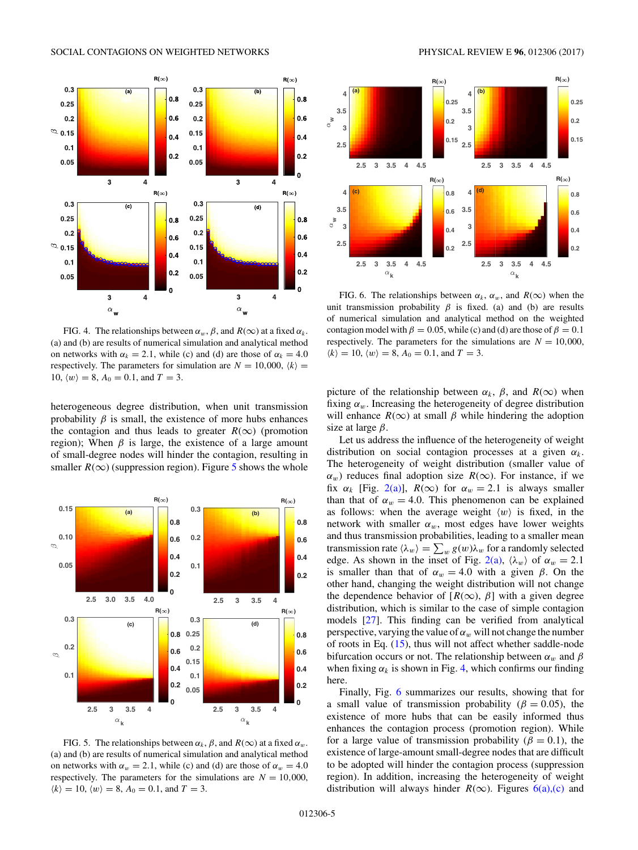<span id="page-4-0"></span>

FIG. 4. The relationships between  $\alpha_w$ ,  $\beta$ , and  $R(\infty)$  at a fixed  $\alpha_k$ . (a) and (b) are results of numerical simulation and analytical method on networks with  $\alpha_k = 2.1$ , while (c) and (d) are those of  $\alpha_k = 4.0$ respectively. The parameters for simulation are  $N = 10,000$ ,  $\langle k \rangle$ 10,  $\langle w \rangle = 8$ ,  $A_0 = 0.1$ , and  $T = 3$ .

heterogeneous degree distribution, when unit transmission probability  $\beta$  is small, the existence of more hubs enhances the contagion and thus leads to greater  $R(\infty)$  (promotion region); When  $\beta$  is large, the existence of a large amount of small-degree nodes will hinder the contagion, resulting in smaller  $R(\infty)$  (suppression region). Figure 5 shows the whole



FIG. 5. The relationships between  $\alpha_k$ ,  $\beta$ , and  $R(\infty)$  at a fixed  $\alpha_w$ . (a) and (b) are results of numerical simulation and analytical method on networks with  $\alpha_w = 2.1$ , while (c) and (d) are those of  $\alpha_w = 4.0$ respectively. The parameters for the simulations are  $N = 10,000$ ,  $\langle k \rangle = 10, \langle w \rangle = 8, A_0 = 0.1, \text{ and } T = 3.$ 



FIG. 6. The relationships between  $\alpha_k$ ,  $\alpha_w$ , and  $R(\infty)$  when the unit transmission probability  $\beta$  is fixed. (a) and (b) are results of numerical simulation and analytical method on the weighted contagion model with  $\beta = 0.05$ , while (c) and (d) are those of  $\beta = 0.1$ respectively. The parameters for the simulations are  $N = 10,000$ ,  $\langle k \rangle = 10$ ,  $\langle w \rangle = 8$ ,  $A_0 = 0.1$ , and  $T = 3$ .

picture of the relationship between  $\alpha_k$ ,  $\beta$ , and  $R(\infty)$  when fixing  $\alpha_w$ . Increasing the heterogeneity of degree distribution will enhance  $R(\infty)$  at small  $\beta$  while hindering the adoption size at large *β*.

Let us address the influence of the heterogeneity of weight distribution on social contagion processes at a given *αk*. The heterogeneity of weight distribution (smaller value of  $\alpha_w$ ) reduces final adoption size  $R(\infty)$ . For instance, if we fix  $\alpha_k$  [Fig. [2\(a\)\]](#page-3-0),  $R(\infty)$  for  $\alpha_w = 2.1$  is always smaller than that of  $\alpha_w = 4.0$ . This phenomenon can be explained as follows: when the average weight  $\langle w \rangle$  is fixed, in the network with smaller  $\alpha_w$ , most edges have lower weights and thus transmission probabilities, leading to a smaller mean transmission rate  $\langle \lambda_w \rangle = \sum_w g(w) \lambda_w$  for a randomly selected edge. As shown in the inset of Fig. [2\(a\),](#page-3-0)  $\langle \lambda_w \rangle$  of  $\alpha_w = 2.1$ is smaller than that of  $\alpha_w = 4.0$  with a given  $\beta$ . On the other hand, changing the weight distribution will not change the dependence behavior of  $[R(\infty), \beta]$  with a given degree distribution, which is similar to the case of simple contagion models [\[27\]](#page-5-0). This finding can be verified from analytical perspective, varying the value of  $\alpha_w$  will not change the number of roots in Eq. [\(15\)](#page-2-0), thus will not affect whether saddle-node bifurcation occurs or not. The relationship between *αw* and *β* when fixing  $\alpha_k$  is shown in Fig. 4, which confirms our finding here.

Finally, Fig. 6 summarizes our results, showing that for a small value of transmission probability ( $\beta = 0.05$ ), the existence of more hubs that can be easily informed thus enhances the contagion process (promotion region). While for a large value of transmission probability ( $\beta = 0.1$ ), the existence of large-amount small-degree nodes that are difficult to be adopted will hinder the contagion process (suppression region). In addition, increasing the heterogeneity of weight distribution will always hinder  $R(\infty)$ . Figures 6(a),(c) and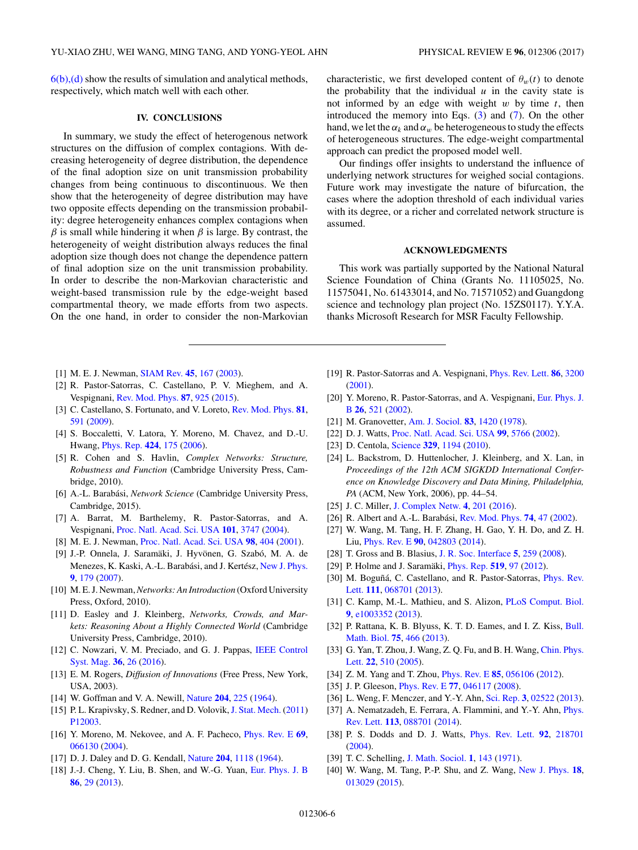<span id="page-5-0"></span> $6(b)$ , (d) show the results of simulation and analytical methods, respectively, which match well with each other.

# **IV. CONCLUSIONS**

In summary, we study the effect of heterogenous network structures on the diffusion of complex contagions. With decreasing heterogeneity of degree distribution, the dependence of the final adoption size on unit transmission probability changes from being continuous to discontinuous. We then show that the heterogeneity of degree distribution may have two opposite effects depending on the transmission probability: degree heterogeneity enhances complex contagions when  $\beta$  is small while hindering it when  $\beta$  is large. By contrast, the heterogeneity of weight distribution always reduces the final adoption size though does not change the dependence pattern of final adoption size on the unit transmission probability. In order to describe the non-Markovian characteristic and weight-based transmission rule by the edge-weight based compartmental theory, we made efforts from two aspects. On the one hand, in order to consider the non-Markovian

- [1] M. E. J. Newman, [SIAM Rev.](https://doi.org/10.1137/S003614450342480) **[45](https://doi.org/10.1137/S003614450342480)**, [167](https://doi.org/10.1137/S003614450342480) [\(2003\)](https://doi.org/10.1137/S003614450342480).
- [2] R. Pastor-Satorras, C. Castellano, P. V. Mieghem, and A. Vespignani, [Rev. Mod. Phys.](https://doi.org/10.1103/RevModPhys.87.925) **[87](https://doi.org/10.1103/RevModPhys.87.925)**, [925](https://doi.org/10.1103/RevModPhys.87.925) [\(2015\)](https://doi.org/10.1103/RevModPhys.87.925).
- [3] C. Castellano, S. Fortunato, and V. Loreto, [Rev. Mod. Phys.](https://doi.org/10.1103/RevModPhys.81.591) **[81](https://doi.org/10.1103/RevModPhys.81.591)**, [591](https://doi.org/10.1103/RevModPhys.81.591) [\(2009\)](https://doi.org/10.1103/RevModPhys.81.591).
- [4] S. Boccaletti, V. Latora, Y. Moreno, M. Chavez, and D.-U. Hwang, [Phys. Rep.](https://doi.org/10.1016/j.physrep.2005.10.009) **[424](https://doi.org/10.1016/j.physrep.2005.10.009)**, [175](https://doi.org/10.1016/j.physrep.2005.10.009) [\(2006\)](https://doi.org/10.1016/j.physrep.2005.10.009).
- [5] R. Cohen and S. Havlin, *Complex Networks: Structure, Robustness and Function* (Cambridge University Press, Cambridge, 2010).
- [6] A.-L. Barabási, *Network Science* (Cambridge University Press, Cambridge, 2015).
- [7] A. Barrat, M. Barthelemy, R. Pastor-Satorras, and A. Vespignani, [Proc. Natl. Acad. Sci. USA](https://doi.org/10.1073/pnas.0400087101) **[101](https://doi.org/10.1073/pnas.0400087101)**, [3747](https://doi.org/10.1073/pnas.0400087101) [\(2004\)](https://doi.org/10.1073/pnas.0400087101).
- [8] M. E. J. Newman, [Proc. Natl. Acad. Sci. USA](https://doi.org/10.1073/pnas.98.2.404) **[98](https://doi.org/10.1073/pnas.98.2.404)**, [404](https://doi.org/10.1073/pnas.98.2.404) [\(2001\)](https://doi.org/10.1073/pnas.98.2.404).
- [9] J.-P. Onnela, J. Saramäki, J. Hyvönen, G. Szabó, M. A. de Menezes, K. Kaski, A.-L. Barabási, and J. Kertész, [New J. Phys.](https://doi.org/10.1088/1367-2630/9/6/179) **[9](https://doi.org/10.1088/1367-2630/9/6/179)**, [179](https://doi.org/10.1088/1367-2630/9/6/179) [\(2007\)](https://doi.org/10.1088/1367-2630/9/6/179).
- [10] M. E. J. Newman,*Networks: An Introduction* (Oxford University Press, Oxford, 2010).
- [11] D. Easley and J. Kleinberg, *Networks, Crowds, and Markets: Reasoning About a Highly Connected World* (Cambridge University Press, Cambridge, 2010).
- [12] [C. Nowzari, V. M. Preciado, and G. J. Pappas,](https://doi.org/10.1109/MCS.2015.2495000) IEEE Control Syst. Mag. **[36](https://doi.org/10.1109/MCS.2015.2495000)**, [26](https://doi.org/10.1109/MCS.2015.2495000) [\(2016\)](https://doi.org/10.1109/MCS.2015.2495000).
- [13] E. M. Rogers, *Diffusion of Innovations* (Free Press, New York, USA, 2003).
- [14] W. Goffman and V. A. Newill, [Nature](https://doi.org/10.1038/204225a0) **[204](https://doi.org/10.1038/204225a0)**, [225](https://doi.org/10.1038/204225a0) [\(1964\)](https://doi.org/10.1038/204225a0).
- [15] P. L. Krapivsky, S. Redner, and D. Volovik, [J. Stat. Mech.](https://doi.org/10.1088/1742-5468/2011/12/P12003) [\(2011\)](https://doi.org/10.1088/1742-5468/2011/12/P12003) [P12003.](https://doi.org/10.1088/1742-5468/2011/12/P12003)
- [16] Y. Moreno, M. Nekovee, and A. F. Pacheco, [Phys. Rev. E](https://doi.org/10.1103/PhysRevE.69.066130) **[69](https://doi.org/10.1103/PhysRevE.69.066130)**, [066130](https://doi.org/10.1103/PhysRevE.69.066130) [\(2004\)](https://doi.org/10.1103/PhysRevE.69.066130).
- [17] D. J. Daley and D. G. Kendall, [Nature](https://doi.org/10.1038/2041118a0) **[204](https://doi.org/10.1038/2041118a0)**, [1118](https://doi.org/10.1038/2041118a0) [\(1964\)](https://doi.org/10.1038/2041118a0).
- [18] J.-J. Cheng, Y. Liu, B. Shen, and W.-G. Yuan, [Eur. Phys. J. B](https://doi.org/10.1140/epjb/e2012-30483-5) **[86](https://doi.org/10.1140/epjb/e2012-30483-5)**, [29](https://doi.org/10.1140/epjb/e2012-30483-5) [\(2013\)](https://doi.org/10.1140/epjb/e2012-30483-5).
- [19] R. Pastor-Satorras and A. Vespignani, [Phys. Rev. Lett.](https://doi.org/10.1103/PhysRevLett.86.3200) **[86](https://doi.org/10.1103/PhysRevLett.86.3200)**, [3200](https://doi.org/10.1103/PhysRevLett.86.3200) [\(2001\)](https://doi.org/10.1103/PhysRevLett.86.3200).
- [20] [Y. Moreno, R. Pastor-Satorras, and A. Vespignani,](https://doi.org/10.1140/epjb/e20020122) Eur. Phys. J. B **[26](https://doi.org/10.1140/epjb/e20020122)**, [521](https://doi.org/10.1140/epjb/e20020122) [\(2002\)](https://doi.org/10.1140/epjb/e20020122).
- [21] M. Granovetter, [Am. J. Sociol.](https://doi.org/10.1086/226707) **[83](https://doi.org/10.1086/226707)**, [1420](https://doi.org/10.1086/226707) [\(1978\)](https://doi.org/10.1086/226707).
- [22] D. J. Watts, [Proc. Natl. Acad. Sci. USA](https://doi.org/10.1073/pnas.082090499) **[99](https://doi.org/10.1073/pnas.082090499)**, [5766](https://doi.org/10.1073/pnas.082090499) [\(2002\)](https://doi.org/10.1073/pnas.082090499).
- [23] D. Centola, [Science](https://doi.org/10.1126/science.1185231) **[329](https://doi.org/10.1126/science.1185231)**, [1194](https://doi.org/10.1126/science.1185231) [\(2010\)](https://doi.org/10.1126/science.1185231).
- [24] L. Backstrom, D. Huttenlocher, J. Kleinberg, and X. Lan, in *Proceedings of the 12th ACM SIGKDD International Conference on Knowledge Discovery and Data Mining, Philadelphia, PA* (ACM, New York, 2006), pp. 44–54.
- [25] J. C. Miller, [J. Complex Netw.](https://doi.org/10.1093/comnet/cnv021) **[4](https://doi.org/10.1093/comnet/cnv021)**, [201](https://doi.org/10.1093/comnet/cnv021) [\(2016\)](https://doi.org/10.1093/comnet/cnv021).
- [26] R. Albert and A.-L. Barabási, [Rev. Mod. Phys.](https://doi.org/10.1103/RevModPhys.74.47) **[74](https://doi.org/10.1103/RevModPhys.74.47)**, [47](https://doi.org/10.1103/RevModPhys.74.47) [\(2002\)](https://doi.org/10.1103/RevModPhys.74.47).
- [27] W. Wang, M. Tang, H. F. Zhang, H. Gao, Y. H. Do, and Z. H. Liu, [Phys. Rev. E](https://doi.org/10.1103/PhysRevE.90.042803) **[90](https://doi.org/10.1103/PhysRevE.90.042803)**, [042803](https://doi.org/10.1103/PhysRevE.90.042803) [\(2014\)](https://doi.org/10.1103/PhysRevE.90.042803).
- [28] T. Gross and B. Blasius, [J. R. Soc. Interface](https://doi.org/10.1098/rsif.2007.1229) **[5](https://doi.org/10.1098/rsif.2007.1229)**, [259](https://doi.org/10.1098/rsif.2007.1229) [\(2008\)](https://doi.org/10.1098/rsif.2007.1229).
- [29] P. Holme and J. Saramäki, [Phys. Rep.](https://doi.org/10.1016/j.physrep.2012.03.001) **[519](https://doi.org/10.1016/j.physrep.2012.03.001)**, [97](https://doi.org/10.1016/j.physrep.2012.03.001) [\(2012\)](https://doi.org/10.1016/j.physrep.2012.03.001).
- [30] [M. Boguñá, C. Castellano, and R. Pastor-Satorras,](https://doi.org/10.1103/PhysRevLett.111.068701) Phys. Rev. Lett. **[111](https://doi.org/10.1103/PhysRevLett.111.068701)**, [068701](https://doi.org/10.1103/PhysRevLett.111.068701) [\(2013\)](https://doi.org/10.1103/PhysRevLett.111.068701).
- [31] C. Kamp, M.-L. Mathieu, and S. Alizon, [PLoS Comput. Biol.](https://doi.org/10.1371/journal.pcbi.1003352) **[9](https://doi.org/10.1371/journal.pcbi.1003352)**, [e1003352](https://doi.org/10.1371/journal.pcbi.1003352) [\(2013\)](https://doi.org/10.1371/journal.pcbi.1003352).
- [32] [P. Rattana, K. B. Blyuss, K. T. D. Eames, and I. Z. Kiss,](https://doi.org/10.1007/s11538-013-9816-7) Bull. Math. Biol. **[75](https://doi.org/10.1007/s11538-013-9816-7)**, [466](https://doi.org/10.1007/s11538-013-9816-7) [\(2013\)](https://doi.org/10.1007/s11538-013-9816-7).
- [33] [G. Yan, T. Zhou, J. Wang, Z. Q. Fu, and B. H. Wang,](https://doi.org/10.1088/0256-307X/22/2/068) Chin. Phys. Lett. **[22](https://doi.org/10.1088/0256-307X/22/2/068)**, [510](https://doi.org/10.1088/0256-307X/22/2/068) [\(2005\)](https://doi.org/10.1088/0256-307X/22/2/068).
- [34] Z. M. Yang and T. Zhou, [Phys. Rev. E](https://doi.org/10.1103/PhysRevE.85.056106) **[85](https://doi.org/10.1103/PhysRevE.85.056106)**, [056106](https://doi.org/10.1103/PhysRevE.85.056106) [\(2012\)](https://doi.org/10.1103/PhysRevE.85.056106).
- [35] J. P. Gleeson, [Phys. Rev. E](https://doi.org/10.1103/PhysRevE.77.046117) **[77](https://doi.org/10.1103/PhysRevE.77.046117)**, [046117](https://doi.org/10.1103/PhysRevE.77.046117) [\(2008\)](https://doi.org/10.1103/PhysRevE.77.046117).
- [36] L. Weng, F. Menczer, and Y.-Y. Ahn, [Sci. Rep.](https://doi.org/10.1038/srep02522) **[3](https://doi.org/10.1038/srep02522)**, [02522](https://doi.org/10.1038/srep02522) [\(2013\)](https://doi.org/10.1038/srep02522).
- [37] [A. Nematzadeh, E. Ferrara, A. Flammini, and Y.-Y. Ahn,](https://doi.org/10.1103/PhysRevLett.113.088701) *Phys.* Rev. Lett. **[113](https://doi.org/10.1103/PhysRevLett.113.088701)**, [088701](https://doi.org/10.1103/PhysRevLett.113.088701) [\(2014\)](https://doi.org/10.1103/PhysRevLett.113.088701).
- [38] P. S. Dodds and D. J. Watts, [Phys. Rev. Lett.](https://doi.org/10.1103/PhysRevLett.92.218701) **[92](https://doi.org/10.1103/PhysRevLett.92.218701)**, [218701](https://doi.org/10.1103/PhysRevLett.92.218701) [\(2004\)](https://doi.org/10.1103/PhysRevLett.92.218701).
- [39] T. C. Schelling, [J. Math. Sociol.](https://doi.org/10.1080/0022250X.1971.9989794) **[1](https://doi.org/10.1080/0022250X.1971.9989794)**, [143](https://doi.org/10.1080/0022250X.1971.9989794) [\(1971\)](https://doi.org/10.1080/0022250X.1971.9989794).
- [40] W. Wang, M. Tang, P.-P. Shu, and Z. Wang, [New J. Phys.](https://doi.org/10.1088/1367-2630/18/1/013029) **[18](https://doi.org/10.1088/1367-2630/18/1/013029)**, [013029](https://doi.org/10.1088/1367-2630/18/1/013029) [\(2015\)](https://doi.org/10.1088/1367-2630/18/1/013029).

characteristic, we first developed content of  $\theta_w(t)$  to denote the probability that the individual  $u$  in the cavity state is not informed by an edge with weight *w* by time *t*, then introduced the memory into Eqs.  $(3)$  and  $(7)$ . On the other hand, we let the  $\alpha_k$  and  $\alpha_w$  be heterogeneous to study the effects of heterogeneous structures. The edge-weight compartmental approach can predict the proposed model well.

Our findings offer insights to understand the influence of underlying network structures for weighed social contagions. Future work may investigate the nature of bifurcation, the cases where the adoption threshold of each individual varies with its degree, or a richer and correlated network structure is assumed.

#### **ACKNOWLEDGMENTS**

This work was partially supported by the National Natural Science Foundation of China (Grants No. 11105025, No. 11575041, No. 61433014, and No. 71571052) and Guangdong science and technology plan project (No. 15ZS0117). Y.Y.A. thanks Microsoft Research for MSR Faculty Fellowship.